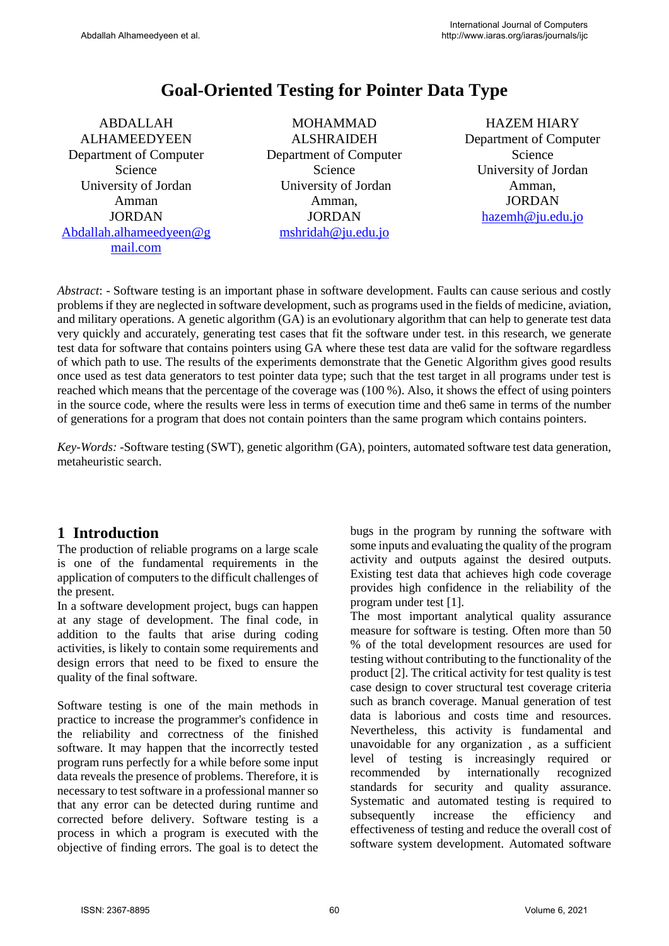# **Goal-Oriented Testing for Pointer Data Type**

ABDALLAH ALHAMEEDYEEN Department of Computer Science University of Jordan Amman JORDAN [Abdallah.alhameedyeen@g](mailto:Abdallah.alhameedyeen@gmail.com) [mail.com](mailto:Abdallah.alhameedyeen@gmail.com)

MOHAMMAD ALSHRAIDEH Department of Computer Science University of Jordan Amman, JORDAN [mshridah@ju.edu.jo](mailto:mshridah@ju.edu.jo)

HAZEM HIARY Department of Computer Science University of Jordan Amman, JORDAN [hazemh@ju.edu.jo](mailto:hazemh@ju.edu.jo)

*Abstract*: - Software testing is an important phase in software development. Faults can cause serious and costly problems if they are neglected in software development, such as programs used in the fields of medicine, aviation, and military operations. A genetic algorithm (GA) is an evolutionary algorithm that can help to generate test data very quickly and accurately, generating test cases that fit the software under test. in this research, we generate test data for software that contains pointers using GA where these test data are valid for the software regardless of which path to use. The results of the experiments demonstrate that the Genetic Algorithm gives good results once used as test data generators to test pointer data type; such that the test target in all programs under test is reached which means that the percentage of the coverage was (100 %). Also, it shows the effect of using pointers in the source code, where the results were less in terms of execution time and the6 same in terms of the number of generations for a program that does not contain pointers than the same program which contains pointers.

*Key-Words: -*Software testing (SWT), genetic algorithm (GA), pointers, automated software test data generation, metaheuristic search.

### **1 Introduction**

The production of reliable programs on a large scale is one of the fundamental requirements in the application of computers to the difficult challenges of the present.

In a software development project, bugs can happen at any stage of development. The final code, in addition to the faults that arise during coding activities, is likely to contain some requirements and design errors that need to be fixed to ensure the quality of the final software.

Software testing is one of the main methods in practice to increase the programmer's confidence in the reliability and correctness of the finished software. It may happen that the incorrectly tested program runs perfectly for a while before some input data reveals the presence of problems. Therefore, it is necessary to test software in a professional manner so that any error can be detected during runtime and corrected before delivery. Software testing is a process in which a program is executed with the objective of finding errors. The goal is to detect the bugs in the program by running the software with some inputs and evaluating the quality of the program activity and outputs against the desired outputs. Existing test data that achieves high code coverage provides high confidence in the reliability of the program under test [1].

The most important analytical quality assurance measure for software is testing. Often more than 50 % of the total development resources are used for testing without contributing to the functionality of the product [2]. The critical activity for test quality is test case design to cover structural test coverage criteria such as branch coverage. Manual generation of test data is laborious and costs time and resources. Nevertheless, this activity is fundamental and unavoidable for any organization , as a sufficient level of testing is increasingly required or recommended by internationally recognized standards for security and quality assurance. Systematic and automated testing is required to subsequently increase the efficiency and effectiveness of testing and reduce the overall cost of software system development. Automated software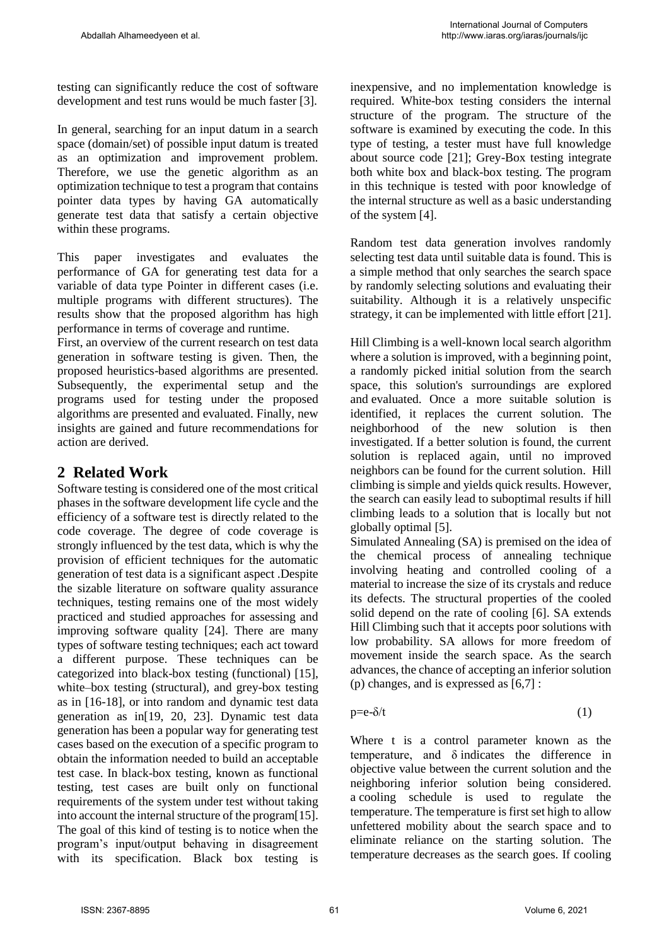testing can significantly reduce the cost of software development and test runs would be much faster [3].

In general, searching for an input datum in a search space (domain/set) of possible input datum is treated as an optimization and improvement problem. Therefore, we use the genetic algorithm as an optimization technique to test a program that contains pointer data types by having GA automatically generate test data that satisfy a certain objective within these programs.

This paper investigates and evaluates the performance of GA for generating test data for a variable of data type Pointer in different cases (i.e. multiple programs with different structures). The results show that the proposed algorithm has high performance in terms of coverage and runtime.

First, an overview of the current research on test data generation in software testing is given. Then, the proposed heuristics-based algorithms are presented. Subsequently, the experimental setup and the programs used for testing under the proposed algorithms are presented and evaluated. Finally, new insights are gained and future recommendations for action are derived.

## **2 Related Work**

Software testing is considered one of the most critical phases in the software development life cycle and the efficiency of a software test is directly related to the code coverage. The degree of code coverage is strongly influenced by the test data, which is why the provision of efficient techniques for the automatic generation of test data is a significant aspect .Despite the sizable literature on software quality assurance techniques, testing remains one of the most widely practiced and studied approaches for assessing and improving software quality [24]. There are many types of software testing techniques; each act toward a different purpose. These techniques can be categorized into black-box testing (functional) [15], white–box testing (structural), and grey-box testing as in [16-18], or into random and dynamic test data generation as in[19, 20, 23]. Dynamic test data generation has been a popular way for generating test cases based on the execution of a specific program to obtain the information needed to build an acceptable test case. In black-box testing, known as functional testing, test cases are built only on functional requirements of the system under test without taking into account the internal structure of the program[15]. The goal of this kind of testing is to notice when the program's input/output behaving in disagreement with its specification. Black box testing is inexpensive, and no implementation knowledge is required. White-box testing considers the internal structure of the program. The structure of the software is examined by executing the code. In this type of testing, a tester must have full knowledge about source code [21]; Grey-Box testing integrate both white box and black-box testing. The program in this technique is tested with poor knowledge of the internal structure as well as a basic understanding of the system [4].

Random test data generation involves randomly selecting test data until suitable data is found. This is a simple method that only searches the search space by randomly selecting solutions and evaluating their suitability. Although it is a relatively unspecific strategy, it can be implemented with little effort [21].

Hill Climbing is a well-known local search algorithm where a solution is improved, with a beginning point, a randomly picked initial solution from the search space, this solution's surroundings are explored and evaluated. Once a more suitable solution is identified, it replaces the current solution. The neighborhood of the new solution is then investigated. If a better solution is found, the current solution is replaced again, until no improved neighbors can be found for the current solution. Hill climbing is simple and yields quick results. However, the search can easily lead to suboptimal results if hill climbing leads to a solution that is locally but not globally optimal [5].

Simulated Annealing (SA) is premised on the idea of the chemical process of annealing technique involving heating and controlled cooling of a material to increase the size of its crystals and reduce its defects. The structural properties of the cooled solid depend on the rate of cooling [6]. SA extends Hill Climbing such that it accepts poor solutions with low probability. SA allows for more freedom of movement inside the search space. As the search advances, the chance of accepting an inferior solution (p) changes, and is expressed as [6,7] :

 $p=e-\delta/t$  (1)

Where t is a control parameter known as the temperature, and δ indicates the difference in objective value between the current solution and the neighboring inferior solution being considered. a cooling schedule is used to regulate the temperature. The temperature is first set high to allow unfettered mobility about the search space and to eliminate reliance on the starting solution. The temperature decreases as the search goes. If cooling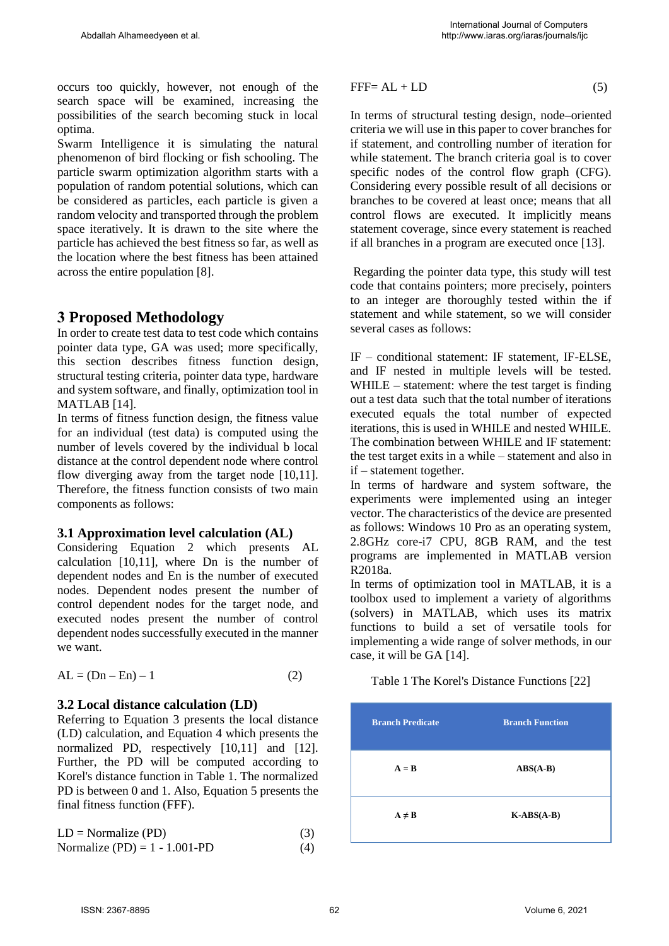occurs too quickly, however, not enough of the search space will be examined, increasing the possibilities of the search becoming stuck in local optima.

Swarm Intelligence it is simulating the natural phenomenon of bird flocking or fish schooling. The particle swarm optimization algorithm starts with a population of random potential solutions, which can be considered as particles, each particle is given a random velocity and transported through the problem space iteratively. It is drawn to the site where the particle has achieved the best fitness so far, as well as the location where the best fitness has been attained across the entire population [8].

### **3 Proposed Methodology**

In order to create test data to test code which contains pointer data type, GA was used; more specifically, this section describes fitness function design, structural testing criteria, pointer data type, hardware and system software, and finally, optimization tool in MATLAB [14].

In terms of fitness function design, the fitness value for an individual (test data) is computed using the number of levels covered by the individual b local distance at the control dependent node where control flow diverging away from the target node [10,11]. Therefore, the fitness function consists of two main components as follows:

### **3.1 Approximation level calculation (AL)**

Considering Equation 2 which presents AL calculation [10,11], where Dn is the number of dependent nodes and En is the number of executed nodes. Dependent nodes present the number of control dependent nodes for the target node, and executed nodes present the number of control dependent nodes successfully executed in the manner we want.

$$
AL = (Dn - En) - 1 \tag{2}
$$

#### **3.2 Local distance calculation (LD)**

Referring to Equation 3 presents the local distance (LD) calculation, and Equation 4 which presents the normalized PD, respectively [10,11] and [12]. Further, the PD will be computed according to Korel's distance function in Table 1. The normalized PD is between 0 and 1. Also, Equation 5 presents the final fitness function (FFF).

|  | $LD = \text{Normalize (PD)}$ |  |  |  | (3) |  |
|--|------------------------------|--|--|--|-----|--|
|  |                              |  |  |  |     |  |

$$
Normalize (PD) = 1 - 1.001 - PD
$$
 (4)

$$
FFF = AL + LD \tag{5}
$$

In terms of structural testing design, node–oriented criteria we will use in this paper to cover branches for if statement, and controlling number of iteration for while statement. The branch criteria goal is to cover specific nodes of the control flow graph (CFG). Considering every possible result of all decisions or branches to be covered at least once; means that all control flows are executed. It implicitly means statement coverage, since every statement is reached if all branches in a program are executed once [13].

Regarding the pointer data type, this study will test code that contains pointers; more precisely, pointers to an integer are thoroughly tested within the if statement and while statement, so we will consider several cases as follows:

IF – conditional statement: IF statement, IF-ELSE, and IF nested in multiple levels will be tested. WHILE – statement: where the test target is finding out a test data such that the total number of iterations executed equals the total number of expected iterations, this is used in WHILE and nested WHILE. The combination between WHILE and IF statement: the test target exits in a while – statement and also in if – statement together.

In terms of hardware and system software, the experiments were implemented using an integer vector. The characteristics of the device are presented as follows: Windows 10 Pro as an operating system, 2.8GHz core-i7 CPU, 8GB RAM, and the test programs are implemented in MATLAB version R2018a.

In terms of optimization tool in MATLAB, it is a toolbox used to implement a variety of algorithms (solvers) in MATLAB, which uses its matrix functions to build a set of versatile tools for implementing a wide range of solver methods, in our case, it will be GA [14].

Table 1 The Korel's Distance Functions [22]

| <b>Branch Predicate</b> | <b>Branch Function</b>       |
|-------------------------|------------------------------|
| $A = B$                 | $\mathbf{ABS}(\mathbf{A-B})$ |
| $A \neq B$              | $K-ABS(A-B)$                 |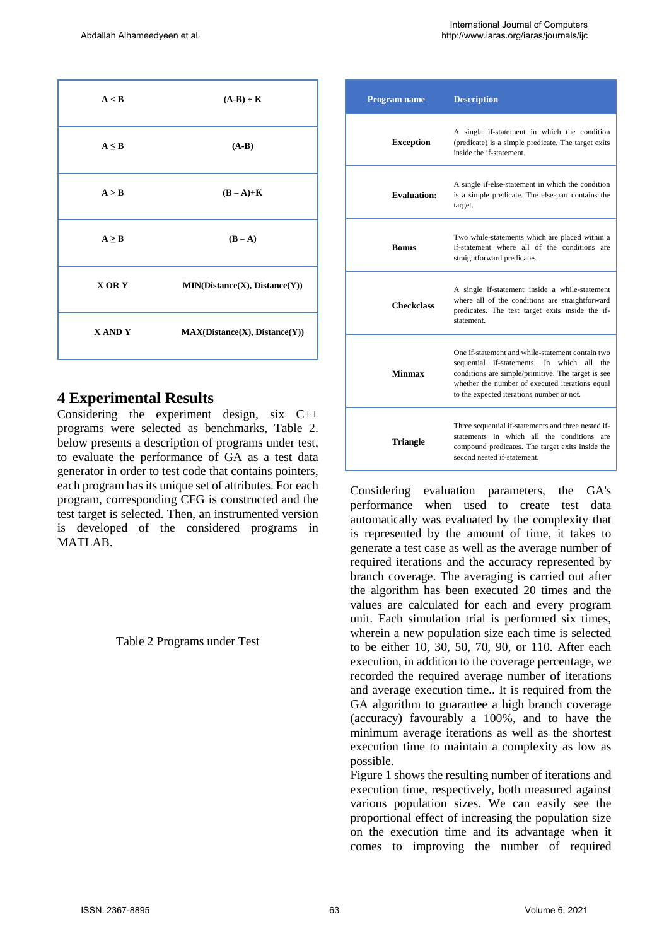| A < B        | $(A-B) + K$                   |
|--------------|-------------------------------|
| $A \leq B$   | $(A-B)$                       |
| A > B        | $(B-A)+K$                     |
| $A \geq B$   | $(B-A)$                       |
| <b>XORY</b>  | MIN(Distance(X), Distance(Y)) |
| <b>XANDY</b> | MAX(Distance(X), Distance(Y)) |

### **4 Experimental Results**

Considering the experiment design, six C++ programs were selected as benchmarks, Table 2. below presents a description of programs under test, to evaluate the performance of GA as a test data generator in order to test code that contains pointers, each program has its unique set of attributes. For each program, corresponding CFG is constructed and the test target is selected. Then, an instrumented version is developed of the considered programs in MATLAB.

Table 2 Programs under Test

| Program name       | <b>Description</b>                                                                                                                                                                                                                                      |
|--------------------|---------------------------------------------------------------------------------------------------------------------------------------------------------------------------------------------------------------------------------------------------------|
| <b>Exception</b>   | A single if-statement in which the condition<br>(predicate) is a simple predicate. The target exits<br>inside the if-statement.                                                                                                                         |
| <b>Evaluation:</b> | A single if-else-statement in which the condition<br>is a simple predicate. The else-part contains the<br>target.                                                                                                                                       |
| <b>Bonus</b>       | Two while-statements which are placed within a<br>if-statement where all of the conditions are<br>straightforward predicates                                                                                                                            |
| <b>Checkclass</b>  | A single if-statement inside a while-statement<br>where all of the conditions are straightforward<br>predicates. The test target exits inside the if-<br>statement                                                                                      |
| Minmax             | One if-statement and while-statement contain two<br>sequential if-statements. In which<br>all the<br>conditions are simple/primitive. The target is see<br>whether the number of executed iterations equal<br>to the expected iterations number or not. |
| <b>Triangle</b>    | Three sequential if-statements and three nested if-<br>statements in which all the conditions are<br>compound predicates. The target exits inside the<br>second nested if-statement.                                                                    |

Considering evaluation parameters, the GA's performance when used to create test data automatically was evaluated by the complexity that is represented by the amount of time, it takes to generate a test case as well as the average number of required iterations and the accuracy represented by branch coverage. The averaging is carried out after the algorithm has been executed 20 times and the values are calculated for each and every program unit. Each simulation trial is performed six times, wherein a new population size each time is selected to be either 10, 30, 50, 70, 90, or 110. After each execution, in addition to the coverage percentage, we recorded the required average number of iterations and average execution time.. It is required from the GA algorithm to guarantee a high branch coverage (accuracy) favourably a 100%, and to have the minimum average iterations as well as the shortest execution time to maintain a complexity as low as possible.

Figure 1 shows the resulting number of iterations and execution time, respectively, both measured against various population sizes. We can easily see the proportional effect of increasing the population size on the execution time and its advantage when it comes to improving the number of required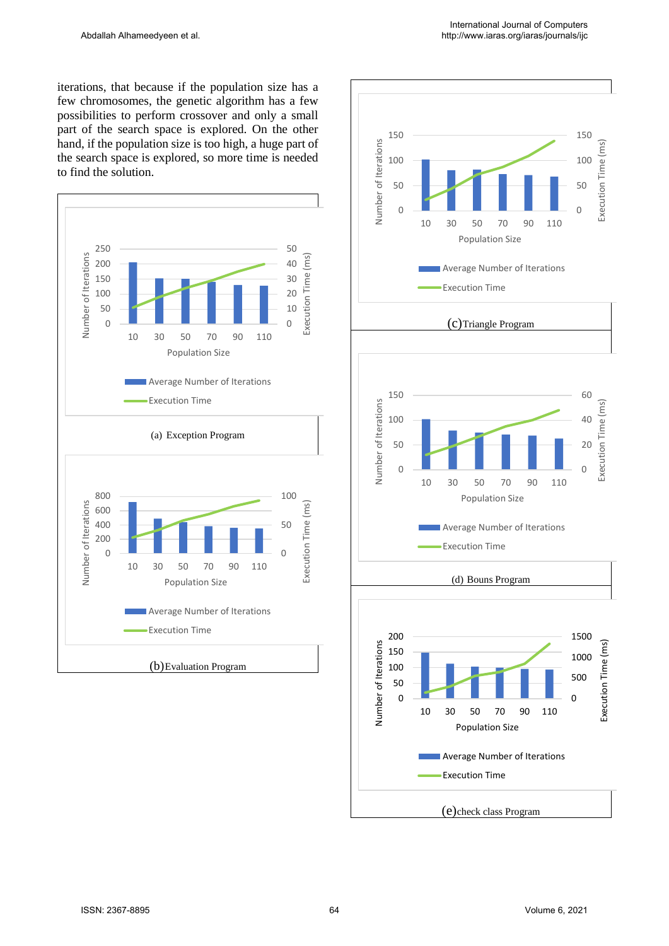iterations, that because if the population size has a few chromosomes, the genetic algorithm has a few possibilities to perform crossover and only a small part of the search space is explored. On the other hand, if the population size is too high, a huge part of the search space is explored, so more time is needed to find the solution.



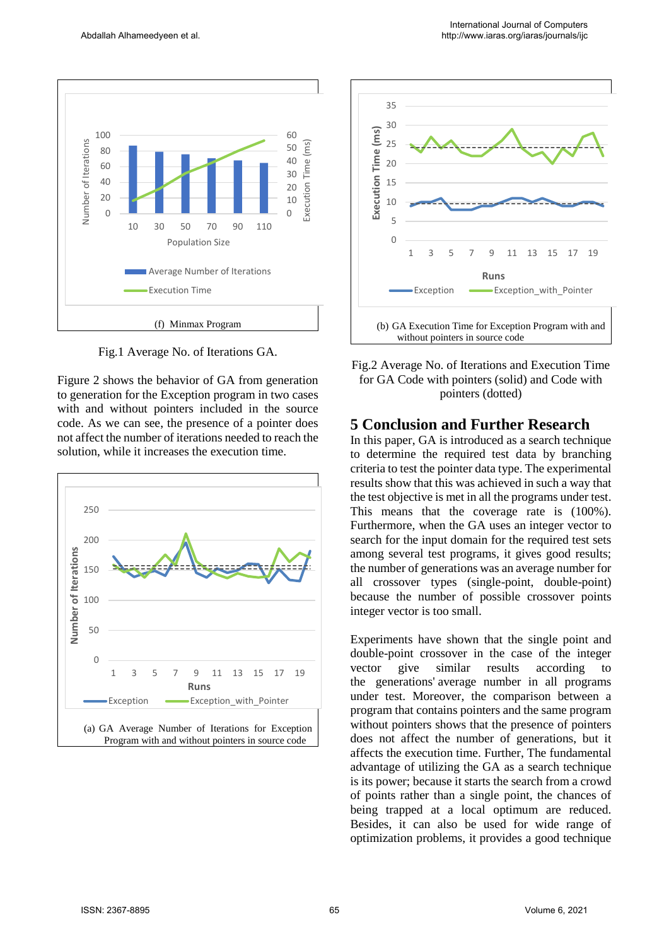

Fig.1 Average No. of Iterations GA.

Figure 2 shows the behavior of GA from generation to generation for the Exception program in two cases with and without pointers included in the source code. As we can see, the presence of a pointer does not affect the number of iterations needed to reach the solution, while it increases the execution time.





Fig.2 Average No. of Iterations and Execution Time for GA Code with pointers (solid) and Code with pointers (dotted)

### **5 Conclusion and Further Research**

In this paper, GA is introduced as a search technique to determine the required test data by branching criteria to test the pointer data type. The experimental results show that this was achieved in such a way that the test objective is met in all the programs under test. This means that the coverage rate is (100%). Furthermore, when the GA uses an integer vector to search for the input domain for the required test sets among several test programs, it gives good results; the number of generations was an average number for all crossover types (single-point, double-point) because the number of possible crossover points integer vector is too small.

Experiments have shown that the single point and double-point crossover in the case of the integer vector give similar results according to the generations' average number in all programs under test. Moreover, the comparison between a program that contains pointers and the same program without pointers shows that the presence of pointers does not affect the number of generations, but it affects the execution time. Further, The fundamental advantage of utilizing the GA as a search technique is its power; because it starts the search from a crowd of points rather than a single point, the chances of being trapped at a local optimum are reduced. Besides, it can also be used for wide range of optimization problems, it provides a good technique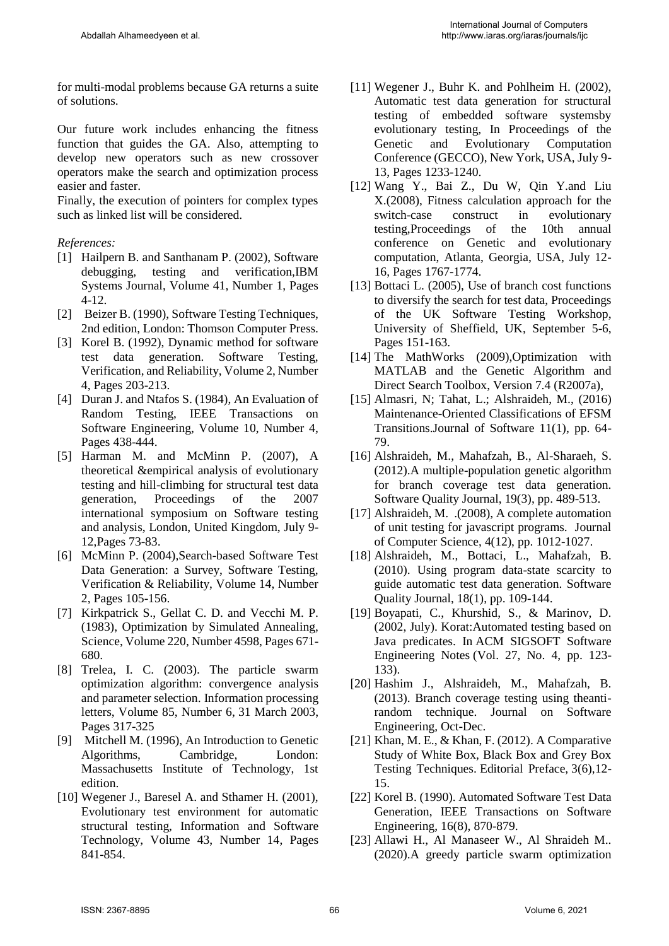for multi-modal problems because GA returns a suite of solutions.

Our future work includes enhancing the fitness function that guides the GA. Also, attempting to develop new operators such as new crossover operators make the search and optimization process easier and faster.

Finally, the execution of pointers for complex types such as linked list will be considered.

#### *References:*

- [1] Hailpern B. and Santhanam P. (2002), Software debugging, testing and verification,IBM Systems Journal, Volume 41, Number 1, Pages 4-12.
- [2] Beizer B. (1990), Software Testing Techniques, 2nd edition, London: Thomson Computer Press.
- [3] Korel B. (1992), Dynamic method for software test data generation. Software Testing, Verification, and Reliability, Volume 2, Number 4, Pages 203-213.
- [4] Duran J. and Ntafos S. (1984), An Evaluation of Random Testing, IEEE Transactions on Software Engineering, Volume 10, Number 4, Pages 438-444.
- [5] Harman M. and McMinn P. (2007), A theoretical &empirical analysis of evolutionary testing and hill-climbing for structural test data generation, Proceedings of the 2007 international symposium on Software testing and analysis, London, United Kingdom, July 9- 12,Pages 73-83.
- [6] McMinn P. (2004),Search-based Software Test Data Generation: a Survey, Software Testing, Verification & Reliability, Volume 14, Number 2, Pages 105-156.
- [7] Kirkpatrick S., Gellat C. D. and Vecchi M. P. (1983), Optimization by Simulated Annealing, Science, Volume 220, Number 4598, Pages 671- 680.
- [8] Trelea, I. C. (2003). The particle swarm optimization algorithm: convergence analysis and parameter selection. Information processing letters, [Volume 85, Number 6,](https://www.sciencedirect.com/science/journal/00200190/85/6) 31 March 2003, Pages 317-325
- [9] Mitchell M. (1996), An Introduction to Genetic Algorithms, Cambridge, London: Massachusetts Institute of Technology, 1st edition.
- [10] Wegener J., Baresel A. and Sthamer H. (2001), Evolutionary test environment for automatic structural testing, Information and Software Technology, [Volume 43, Number 14,](http://www.sciencedirect.com/science?_ob=PublicationURL&_tockey=%23TOC%235642%232001%23999569985%23271817%23FLA%23&_cdi=5642&_pubType=J&view=c&_auth=y&_acct=C000050221&_version=1&_urlVersion=0&_userid=10&md5=085f06e8646be286f212531a3b176923) Pages 841-854.
- [11] Wegener J., Buhr K. and Pohlheim H. (2002), Automatic test data generation for structural testing of embedded software systemsby evolutionary testing, In Proceedings of the Genetic and Evolutionary Computation Conference (GECCO), New York, USA, July 9- 13, Pages 1233-1240.
- [12] Wang Y., Bai Z., Du W, Qin Y.and Liu X.(2008), Fitness calculation approach for the switch-case construct in evolutionary testing,Proceedings of the 10th annual conference on Genetic and evolutionary computation, Atlanta, Georgia, USA, July 12- 16, Pages 1767-1774.
- [13] Bottaci L. (2005), Use of branch cost functions to diversify the search for test data, Proceedings of the UK Software Testing Workshop, University of Sheffield, UK, September 5-6, Pages 151-163.
- [14] The MathWorks (2009),Optimization with MATLAB and the Genetic Algorithm and Direct Search Toolbox, Version 7.4 (R2007a),
- [15] Almasri, N; Tahat, L.; Alshraideh, M., (2016) Maintenance-Oriented Classifications of EFSM Transitions.Journal of Software 11(1), pp. 64- 79.
- [16] Alshraideh, M., Mahafzah, B., Al-Sharaeh, S. (2012).A multiple-population genetic algorithm for branch coverage test data generation. Software Quality Journal, 19(3), pp. 489-513.
- [17] Alshraideh, M. .(2008), A complete automation of unit testing for javascript programs. Journal of Computer Science, 4(12), pp. 1012-1027.
- [18] Alshraideh, M., Bottaci, L., Mahafzah, B. (2010). Using program data-state scarcity to guide automatic test data generation. Software Quality Journal, 18(1), pp. 109-144.
- [19] Boyapati, C., Khurshid, S., & Marinov, D. (2002, July). Korat:Automated testing based on Java predicates. In ACM SIGSOFT Software Engineering Notes (Vol. 27, No. 4, pp. 123- 133).
- [20] Hashim J., Alshraideh, M., Mahafzah, B. (2013). Branch coverage testing using theantirandom technique. Journal on Software Engineering, Oct-Dec.
- [21] Khan, M. E., & Khan, F. (2012). A Comparative Study of White Box, Black Box and Grey Box Testing Techniques. Editorial Preface, 3(6),12- 15.
- [22] Korel B. (1990). Automated Software Test Data Generation, IEEE Transactions on Software Engineering, 16(8), 870-879.
- [23] Allawi H., Al Manaseer W., Al Shraideh M.. (2020).A greedy particle swarm optimization